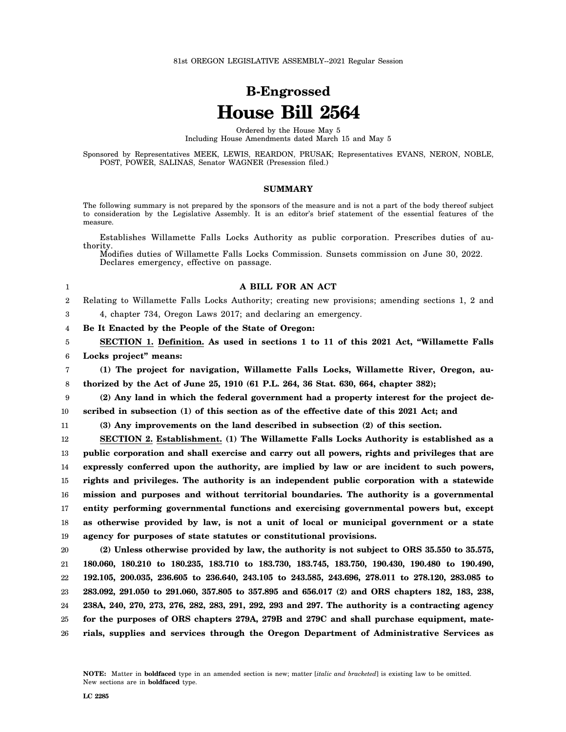# **B-Engrossed House Bill 2564**

Ordered by the House May 5 Including House Amendments dated March 15 and May 5

Sponsored by Representatives MEEK, LEWIS, REARDON, PRUSAK; Representatives EVANS, NERON, NOBLE, POST, POWER, SALINAS, Senator WAGNER (Presession filed.)

# **SUMMARY**

The following summary is not prepared by the sponsors of the measure and is not a part of the body thereof subject to consideration by the Legislative Assembly. It is an editor's brief statement of the essential features of the measure.

Establishes Willamette Falls Locks Authority as public corporation. Prescribes duties of authority.

Modifies duties of Willamette Falls Locks Commission. Sunsets commission on June 30, 2022. Declares emergency, effective on passage.

#### **A BILL FOR AN ACT**

2 Relating to Willamette Falls Locks Authority; creating new provisions; amending sections 1, 2 and

4, chapter 734, Oregon Laws 2017; and declaring an emergency.

4 **Be It Enacted by the People of the State of Oregon:**

5 6 **SECTION 1. Definition. As used in sections 1 to 11 of this 2021 Act, "Willamette Falls Locks project" means:**

7 8 **(1) The project for navigation, Willamette Falls Locks, Willamette River, Oregon, authorized by the Act of June 25, 1910 (61 P.L. 264, 36 Stat. 630, 664, chapter 382);**

9 10 **(2) Any land in which the federal government had a property interest for the project described in subsection (1) of this section as of the effective date of this 2021 Act; and**

11

1

3

**(3) Any improvements on the land described in subsection (2) of this section.**

12 13 14 15 16 17 18 19 **SECTION 2. Establishment. (1) The Willamette Falls Locks Authority is established as a public corporation and shall exercise and carry out all powers, rights and privileges that are expressly conferred upon the authority, are implied by law or are incident to such powers, rights and privileges. The authority is an independent public corporation with a statewide mission and purposes and without territorial boundaries. The authority is a governmental entity performing governmental functions and exercising governmental powers but, except as otherwise provided by law, is not a unit of local or municipal government or a state agency for purposes of state statutes or constitutional provisions.**

20 21 22 23 24 25 26 **(2) Unless otherwise provided by law, the authority is not subject to ORS 35.550 to 35.575, 180.060, 180.210 to 180.235, 183.710 to 183.730, 183.745, 183.750, 190.430, 190.480 to 190.490, 192.105, 200.035, 236.605 to 236.640, 243.105 to 243.585, 243.696, 278.011 to 278.120, 283.085 to 283.092, 291.050 to 291.060, 357.805 to 357.895 and 656.017 (2) and ORS chapters 182, 183, 238, 238A, 240, 270, 273, 276, 282, 283, 291, 292, 293 and 297. The authority is a contracting agency for the purposes of ORS chapters 279A, 279B and 279C and shall purchase equipment, materials, supplies and services through the Oregon Department of Administrative Services as**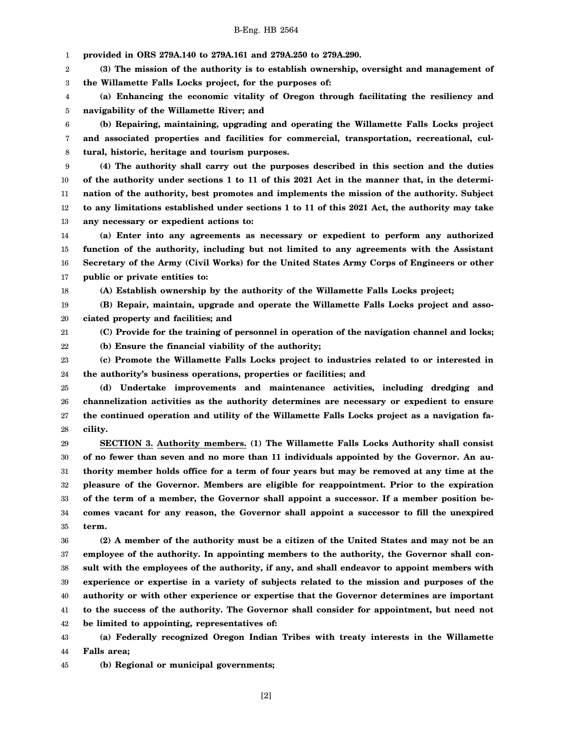1 **provided in ORS 279A.140 to 279A.161 and 279A.250 to 279A.290.**

2 3 **(3) The mission of the authority is to establish ownership, oversight and management of the Willamette Falls Locks project, for the purposes of:**

4 5 **(a) Enhancing the economic vitality of Oregon through facilitating the resiliency and navigability of the Willamette River; and**

6 7 8 **(b) Repairing, maintaining, upgrading and operating the Willamette Falls Locks project and associated properties and facilities for commercial, transportation, recreational, cultural, historic, heritage and tourism purposes.**

9 10 11 12 13 **(4) The authority shall carry out the purposes described in this section and the duties of the authority under sections 1 to 11 of this 2021 Act in the manner that, in the determination of the authority, best promotes and implements the mission of the authority. Subject to any limitations established under sections 1 to 11 of this 2021 Act, the authority may take any necessary or expedient actions to:**

14 15 16 17 **(a) Enter into any agreements as necessary or expedient to perform any authorized function of the authority, including but not limited to any agreements with the Assistant Secretary of the Army (Civil Works) for the United States Army Corps of Engineers or other public or private entities to:**

**(A) Establish ownership by the authority of the Willamette Falls Locks project;**

19 20 **(B) Repair, maintain, upgrade and operate the Willamette Falls Locks project and associated property and facilities; and**

18

21 **(C) Provide for the training of personnel in operation of the navigation channel and locks;**

22 **(b) Ensure the financial viability of the authority;**

23 24 **(c) Promote the Willamette Falls Locks project to industries related to or interested in the authority's business operations, properties or facilities; and**

25 26 27 28 **(d) Undertake improvements and maintenance activities, including dredging and channelization activities as the authority determines are necessary or expedient to ensure the continued operation and utility of the Willamette Falls Locks project as a navigation facility.**

29 30 31 32 33 34 35 **SECTION 3. Authority members. (1) The Willamette Falls Locks Authority shall consist of no fewer than seven and no more than 11 individuals appointed by the Governor. An authority member holds office for a term of four years but may be removed at any time at the pleasure of the Governor. Members are eligible for reappointment. Prior to the expiration of the term of a member, the Governor shall appoint a successor. If a member position becomes vacant for any reason, the Governor shall appoint a successor to fill the unexpired term.**

36 37 38 39 40 41 42 **(2) A member of the authority must be a citizen of the United States and may not be an employee of the authority. In appointing members to the authority, the Governor shall consult with the employees of the authority, if any, and shall endeavor to appoint members with experience or expertise in a variety of subjects related to the mission and purposes of the authority or with other experience or expertise that the Governor determines are important to the success of the authority. The Governor shall consider for appointment, but need not be limited to appointing, representatives of:**

43 44 **(a) Federally recognized Oregon Indian Tribes with treaty interests in the Willamette Falls area;**

45 **(b) Regional or municipal governments;**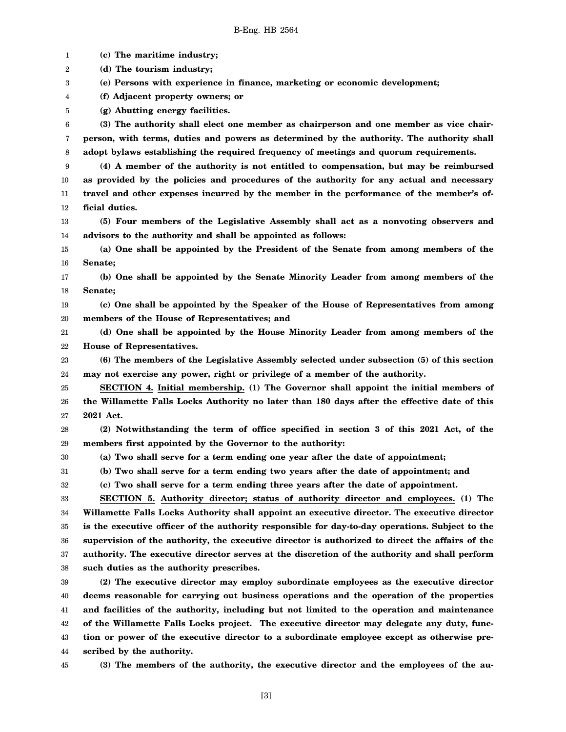1 2 3 4 5 6 7 8 9 10 11 12 13 14 15 16 17 18 19 20 21 22 23 24 25 26 27 28 29 30 31 32 33 34 35 36 37 38 39 40 41 42 43 44 45 **(c) The maritime industry; (d) The tourism industry; (e) Persons with experience in finance, marketing or economic development; (f) Adjacent property owners; or (g) Abutting energy facilities. (3) The authority shall elect one member as chairperson and one member as vice chairperson, with terms, duties and powers as determined by the authority. The authority shall adopt bylaws establishing the required frequency of meetings and quorum requirements. (4) A member of the authority is not entitled to compensation, but may be reimbursed as provided by the policies and procedures of the authority for any actual and necessary travel and other expenses incurred by the member in the performance of the member's official duties. (5) Four members of the Legislative Assembly shall act as a nonvoting observers and advisors to the authority and shall be appointed as follows: (a) One shall be appointed by the President of the Senate from among members of the Senate; (b) One shall be appointed by the Senate Minority Leader from among members of the Senate; (c) One shall be appointed by the Speaker of the House of Representatives from among members of the House of Representatives; and (d) One shall be appointed by the House Minority Leader from among members of the House of Representatives. (6) The members of the Legislative Assembly selected under subsection (5) of this section may not exercise any power, right or privilege of a member of the authority. SECTION 4. Initial membership. (1) The Governor shall appoint the initial members of the Willamette Falls Locks Authority no later than 180 days after the effective date of this 2021 Act. (2) Notwithstanding the term of office specified in section 3 of this 2021 Act, of the members first appointed by the Governor to the authority: (a) Two shall serve for a term ending one year after the date of appointment; (b) Two shall serve for a term ending two years after the date of appointment; and (c) Two shall serve for a term ending three years after the date of appointment. SECTION 5. Authority director; status of authority director and employees. (1) The Willamette Falls Locks Authority shall appoint an executive director. The executive director is the executive officer of the authority responsible for day-to-day operations. Subject to the supervision of the authority, the executive director is authorized to direct the affairs of the authority. The executive director serves at the discretion of the authority and shall perform such duties as the authority prescribes. (2) The executive director may employ subordinate employees as the executive director deems reasonable for carrying out business operations and the operation of the properties and facilities of the authority, including but not limited to the operation and maintenance of the Willamette Falls Locks project. The executive director may delegate any duty, function or power of the executive director to a subordinate employee except as otherwise prescribed by the authority. (3) The members of the authority, the executive director and the employees of the au-**

[3]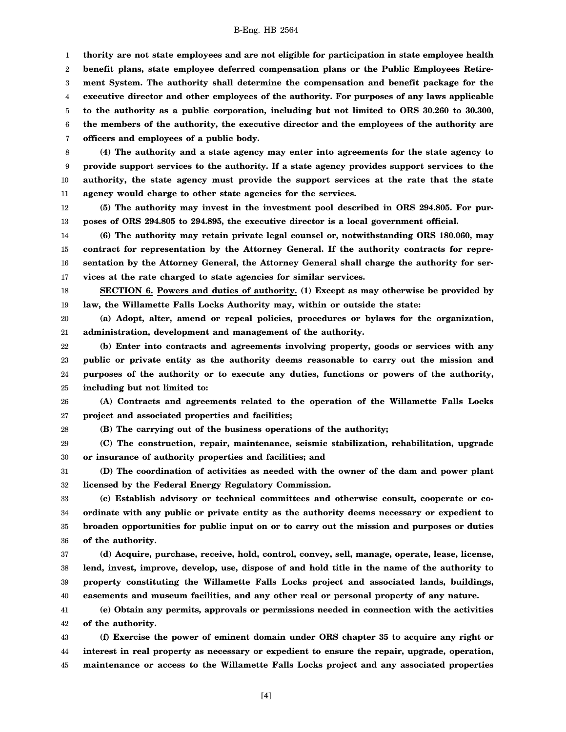1 2 3 4 5 6 7 **thority are not state employees and are not eligible for participation in state employee health benefit plans, state employee deferred compensation plans or the Public Employees Retirement System. The authority shall determine the compensation and benefit package for the executive director and other employees of the authority. For purposes of any laws applicable to the authority as a public corporation, including but not limited to ORS 30.260 to 30.300, the members of the authority, the executive director and the employees of the authority are officers and employees of a public body.**

8 9 10 11 **(4) The authority and a state agency may enter into agreements for the state agency to provide support services to the authority. If a state agency provides support services to the authority, the state agency must provide the support services at the rate that the state agency would charge to other state agencies for the services.**

12 13 **(5) The authority may invest in the investment pool described in ORS 294.805. For purposes of ORS 294.805 to 294.895, the executive director is a local government official.**

14 15 16 17 **(6) The authority may retain private legal counsel or, notwithstanding ORS 180.060, may contract for representation by the Attorney General. If the authority contracts for representation by the Attorney General, the Attorney General shall charge the authority for services at the rate charged to state agencies for similar services.**

18 19 **SECTION 6. Powers and duties of authority. (1) Except as may otherwise be provided by law, the Willamette Falls Locks Authority may, within or outside the state:**

20 21 **(a) Adopt, alter, amend or repeal policies, procedures or bylaws for the organization, administration, development and management of the authority.**

22 23 24 25 **(b) Enter into contracts and agreements involving property, goods or services with any public or private entity as the authority deems reasonable to carry out the mission and purposes of the authority or to execute any duties, functions or powers of the authority, including but not limited to:**

26 27 **(A) Contracts and agreements related to the operation of the Willamette Falls Locks project and associated properties and facilities;**

28 **(B) The carrying out of the business operations of the authority;**

29 30 **(C) The construction, repair, maintenance, seismic stabilization, rehabilitation, upgrade or insurance of authority properties and facilities; and**

31 32 **(D) The coordination of activities as needed with the owner of the dam and power plant licensed by the Federal Energy Regulatory Commission.**

33 34 35 36 **(c) Establish advisory or technical committees and otherwise consult, cooperate or coordinate with any public or private entity as the authority deems necessary or expedient to broaden opportunities for public input on or to carry out the mission and purposes or duties of the authority.**

37 38 39 40 **(d) Acquire, purchase, receive, hold, control, convey, sell, manage, operate, lease, license, lend, invest, improve, develop, use, dispose of and hold title in the name of the authority to property constituting the Willamette Falls Locks project and associated lands, buildings, easements and museum facilities, and any other real or personal property of any nature.**

41 42 **(e) Obtain any permits, approvals or permissions needed in connection with the activities of the authority.**

43 44 45 **(f) Exercise the power of eminent domain under ORS chapter 35 to acquire any right or interest in real property as necessary or expedient to ensure the repair, upgrade, operation, maintenance or access to the Willamette Falls Locks project and any associated properties**

[4]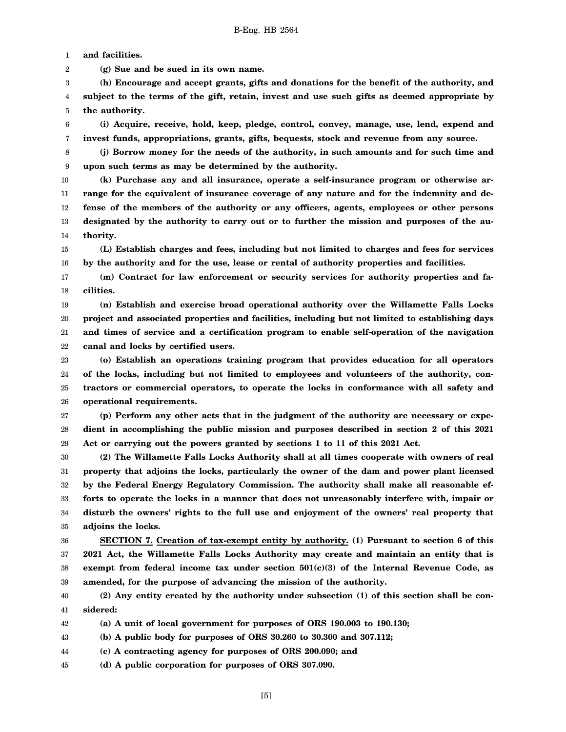1 **and facilities.**

2 **(g) Sue and be sued in its own name.**

3 4 5 **(h) Encourage and accept grants, gifts and donations for the benefit of the authority, and subject to the terms of the gift, retain, invest and use such gifts as deemed appropriate by the authority.**

6 7 **(i) Acquire, receive, hold, keep, pledge, control, convey, manage, use, lend, expend and invest funds, appropriations, grants, gifts, bequests, stock and revenue from any source.**

8 9 **(j) Borrow money for the needs of the authority, in such amounts and for such time and upon such terms as may be determined by the authority.**

10 11 12 13 14 **(k) Purchase any and all insurance, operate a self-insurance program or otherwise arrange for the equivalent of insurance coverage of any nature and for the indemnity and defense of the members of the authority or any officers, agents, employees or other persons designated by the authority to carry out or to further the mission and purposes of the authority.**

15 16 **(L) Establish charges and fees, including but not limited to charges and fees for services by the authority and for the use, lease or rental of authority properties and facilities.**

17 18 **(m) Contract for law enforcement or security services for authority properties and facilities.**

19 20 21 22 **(n) Establish and exercise broad operational authority over the Willamette Falls Locks project and associated properties and facilities, including but not limited to establishing days and times of service and a certification program to enable self-operation of the navigation canal and locks by certified users.**

23 24 25 26 **(o) Establish an operations training program that provides education for all operators of the locks, including but not limited to employees and volunteers of the authority, contractors or commercial operators, to operate the locks in conformance with all safety and operational requirements.**

27 28 29 **(p) Perform any other acts that in the judgment of the authority are necessary or expedient in accomplishing the public mission and purposes described in section 2 of this 2021 Act or carrying out the powers granted by sections 1 to 11 of this 2021 Act.**

30 31 32 33 34 35 **(2) The Willamette Falls Locks Authority shall at all times cooperate with owners of real property that adjoins the locks, particularly the owner of the dam and power plant licensed by the Federal Energy Regulatory Commission. The authority shall make all reasonable efforts to operate the locks in a manner that does not unreasonably interfere with, impair or disturb the owners' rights to the full use and enjoyment of the owners' real property that adjoins the locks.**

36 37 38 39 **SECTION 7. Creation of tax-exempt entity by authority. (1) Pursuant to section 6 of this 2021 Act, the Willamette Falls Locks Authority may create and maintain an entity that is exempt from federal income tax under section 501(c)(3) of the Internal Revenue Code, as amended, for the purpose of advancing the mission of the authority.**

40 41 **(2) Any entity created by the authority under subsection (1) of this section shall be considered:**

42 **(a) A unit of local government for purposes of ORS 190.003 to 190.130;**

43 **(b) A public body for purposes of ORS 30.260 to 30.300 and 307.112;**

44 **(c) A contracting agency for purposes of ORS 200.090; and**

45 **(d) A public corporation for purposes of ORS 307.090.**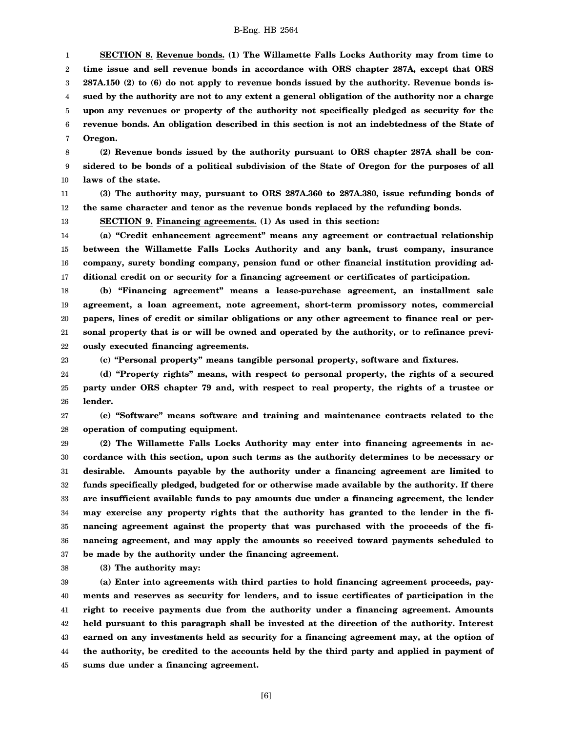1 2 3 4 5 6 7 **SECTION 8. Revenue bonds. (1) The Willamette Falls Locks Authority may from time to time issue and sell revenue bonds in accordance with ORS chapter 287A, except that ORS 287A.150 (2) to (6) do not apply to revenue bonds issued by the authority. Revenue bonds issued by the authority are not to any extent a general obligation of the authority nor a charge upon any revenues or property of the authority not specifically pledged as security for the revenue bonds. An obligation described in this section is not an indebtedness of the State of Oregon.**

8 9 10 **(2) Revenue bonds issued by the authority pursuant to ORS chapter 287A shall be considered to be bonds of a political subdivision of the State of Oregon for the purposes of all laws of the state.**

11 12 **(3) The authority may, pursuant to ORS 287A.360 to 287A.380, issue refunding bonds of the same character and tenor as the revenue bonds replaced by the refunding bonds.**

**SECTION 9. Financing agreements. (1) As used in this section:**

14 15 16 17 **(a) "Credit enhancement agreement" means any agreement or contractual relationship between the Willamette Falls Locks Authority and any bank, trust company, insurance company, surety bonding company, pension fund or other financial institution providing additional credit on or security for a financing agreement or certificates of participation.**

18 19 20 21 22 **(b) "Financing agreement" means a lease-purchase agreement, an installment sale agreement, a loan agreement, note agreement, short-term promissory notes, commercial papers, lines of credit or similar obligations or any other agreement to finance real or personal property that is or will be owned and operated by the authority, or to refinance previously executed financing agreements.**

23

13

**(c) "Personal property" means tangible personal property, software and fixtures.**

24 25 26 **(d) "Property rights" means, with respect to personal property, the rights of a secured party under ORS chapter 79 and, with respect to real property, the rights of a trustee or lender.**

27 28 **(e) "Software" means software and training and maintenance contracts related to the operation of computing equipment.**

29 30 31 32 33 34 35 36 37 **(2) The Willamette Falls Locks Authority may enter into financing agreements in accordance with this section, upon such terms as the authority determines to be necessary or desirable. Amounts payable by the authority under a financing agreement are limited to funds specifically pledged, budgeted for or otherwise made available by the authority. If there are insufficient available funds to pay amounts due under a financing agreement, the lender may exercise any property rights that the authority has granted to the lender in the financing agreement against the property that was purchased with the proceeds of the financing agreement, and may apply the amounts so received toward payments scheduled to be made by the authority under the financing agreement.**

38 **(3) The authority may:**

39 40 41 42 43 44 45 **(a) Enter into agreements with third parties to hold financing agreement proceeds, payments and reserves as security for lenders, and to issue certificates of participation in the right to receive payments due from the authority under a financing agreement. Amounts held pursuant to this paragraph shall be invested at the direction of the authority. Interest earned on any investments held as security for a financing agreement may, at the option of the authority, be credited to the accounts held by the third party and applied in payment of sums due under a financing agreement.**

[6]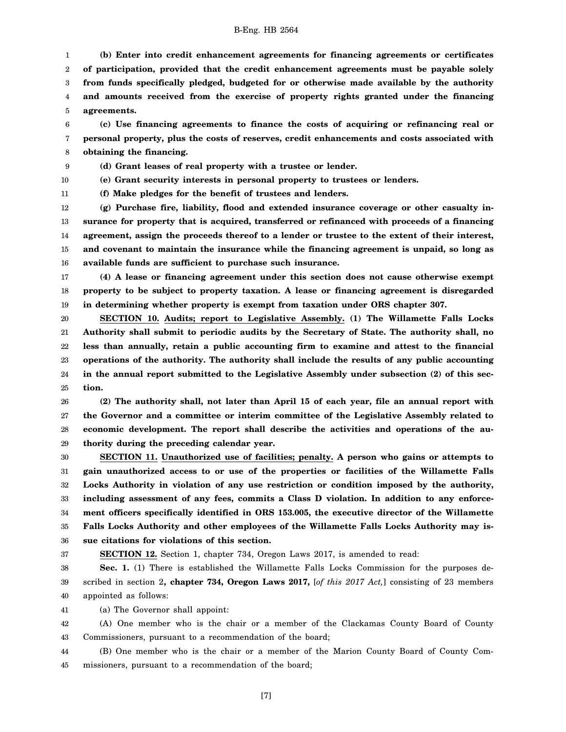1 2 3 4 5 **(b) Enter into credit enhancement agreements for financing agreements or certificates of participation, provided that the credit enhancement agreements must be payable solely from funds specifically pledged, budgeted for or otherwise made available by the authority and amounts received from the exercise of property rights granted under the financing agreements.**

6 7 8 **(c) Use financing agreements to finance the costs of acquiring or refinancing real or personal property, plus the costs of reserves, credit enhancements and costs associated with obtaining the financing.**

9 **(d) Grant leases of real property with a trustee or lender.**

10

11

**(e) Grant security interests in personal property to trustees or lenders.**

**(f) Make pledges for the benefit of trustees and lenders.**

12 13 14 15 16 **(g) Purchase fire, liability, flood and extended insurance coverage or other casualty insurance for property that is acquired, transferred or refinanced with proceeds of a financing agreement, assign the proceeds thereof to a lender or trustee to the extent of their interest, and covenant to maintain the insurance while the financing agreement is unpaid, so long as available funds are sufficient to purchase such insurance.**

17 18 19 **(4) A lease or financing agreement under this section does not cause otherwise exempt property to be subject to property taxation. A lease or financing agreement is disregarded in determining whether property is exempt from taxation under ORS chapter 307.**

20 21 22 23 24 25 **SECTION 10. Audits; report to Legislative Assembly. (1) The Willamette Falls Locks Authority shall submit to periodic audits by the Secretary of State. The authority shall, no less than annually, retain a public accounting firm to examine and attest to the financial operations of the authority. The authority shall include the results of any public accounting in the annual report submitted to the Legislative Assembly under subsection (2) of this section.**

26 27 28 29 **(2) The authority shall, not later than April 15 of each year, file an annual report with the Governor and a committee or interim committee of the Legislative Assembly related to economic development. The report shall describe the activities and operations of the authority during the preceding calendar year.**

30 31 32 33 34 35 36 **SECTION 11. Unauthorized use of facilities; penalty. A person who gains or attempts to gain unauthorized access to or use of the properties or facilities of the Willamette Falls Locks Authority in violation of any use restriction or condition imposed by the authority, including assessment of any fees, commits a Class D violation. In addition to any enforcement officers specifically identified in ORS 153.005, the executive director of the Willamette Falls Locks Authority and other employees of the Willamette Falls Locks Authority may issue citations for violations of this section.**

37

**SECTION 12.** Section 1, chapter 734, Oregon Laws 2017, is amended to read:

38 39 40 Sec. 1. (1) There is established the Willamette Falls Locks Commission for the purposes described in section 2**, chapter 734, Oregon Laws 2017,** [*of this 2017 Act,*] consisting of 23 members appointed as follows:

41 (a) The Governor shall appoint:

42 43 (A) One member who is the chair or a member of the Clackamas County Board of County Commissioners, pursuant to a recommendation of the board;

44 45 (B) One member who is the chair or a member of the Marion County Board of County Commissioners, pursuant to a recommendation of the board;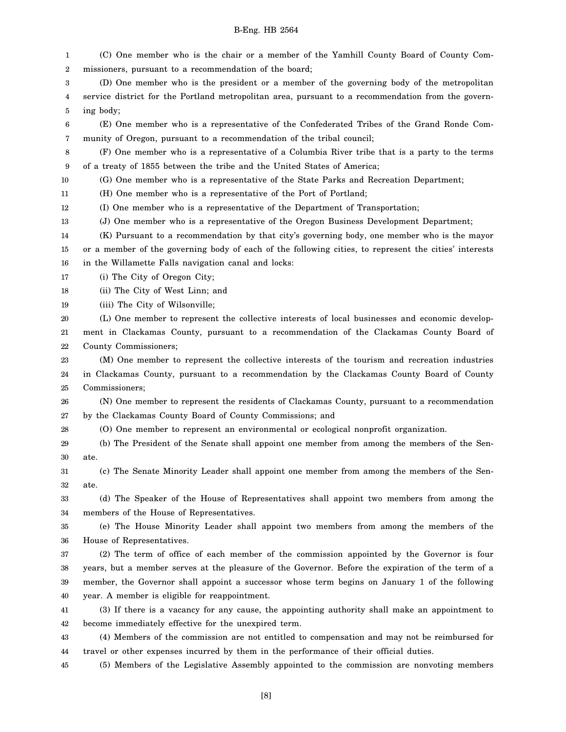missioners, pursuant to a recommendation of the board;

(C) One member who is the chair or a member of the Yamhill County Board of County Com-

1 2

| 3                | (D) One member who is the president or a member of the governing body of the metropolitan             |
|------------------|-------------------------------------------------------------------------------------------------------|
| 4                | service district for the Portland metropolitan area, pursuant to a recommendation from the govern-    |
| 5                | ing body;                                                                                             |
| 6                | (E) One member who is a representative of the Confederated Tribes of the Grand Ronde Com-             |
| 7                | munity of Oregon, pursuant to a recommendation of the tribal council;                                 |
| $\,8\,$          | (F) One member who is a representative of a Columbia River tribe that is a party to the terms         |
| $\boldsymbol{9}$ | of a treaty of 1855 between the tribe and the United States of America;                               |
| 10               | (G) One member who is a representative of the State Parks and Recreation Department;                  |
| 11               | (H) One member who is a representative of the Port of Portland;                                       |
| 12               | (I) One member who is a representative of the Department of Transportation;                           |
| 13               | (J) One member who is a representative of the Oregon Business Development Department;                 |
| 14               | (K) Pursuant to a recommendation by that city's governing body, one member who is the mayor           |
| 15               | or a member of the governing body of each of the following cities, to represent the cities' interests |
| 16               | in the Willamette Falls navigation canal and locks:                                                   |
| 17               | (i) The City of Oregon City;                                                                          |
| 18               | (ii) The City of West Linn; and                                                                       |
| 19               | (iii) The City of Wilsonville;                                                                        |
| 20               | (L) One member to represent the collective interests of local businesses and economic develop-        |
| 21               | ment in Clackamas County, pursuant to a recommendation of the Clackamas County Board of               |
| 22               | County Commissioners;                                                                                 |
| 23               | (M) One member to represent the collective interests of the tourism and recreation industries         |
| 24               | in Clackamas County, pursuant to a recommendation by the Clackamas County Board of County             |
| 25               | Commissioners;                                                                                        |
| 26               | (N) One member to represent the residents of Clackamas County, pursuant to a recommendation           |
| 27               | by the Clackamas County Board of County Commissions; and                                              |
| 28               | (O) One member to represent an environmental or ecological nonprofit organization.                    |
| 29               | (b) The President of the Senate shall appoint one member from among the members of the Sen-           |
| 30               | ate.                                                                                                  |
| 31               | (c) The Senate Minority Leader shall appoint one member from among the members of the Sen-            |
| 32               | ate.                                                                                                  |
| 33               | (d) The Speaker of the House of Representatives shall appoint two members from among the              |
| 34               | members of the House of Representatives.                                                              |
| 35               | (e) The House Minority Leader shall appoint two members from among the members of the                 |
| 36               | House of Representatives.                                                                             |
| 37               | (2) The term of office of each member of the commission appointed by the Governor is four             |
| 38               | years, but a member serves at the pleasure of the Governor. Before the expiration of the term of a    |
| 39               | member, the Governor shall appoint a successor whose term begins on January 1 of the following        |
| 40               | year. A member is eligible for reappointment.                                                         |
| 41               | (3) If there is a vacancy for any cause, the appointing authority shall make an appointment to        |
| 42               | become immediately effective for the unexpired term.                                                  |
| 43               | (4) Members of the commission are not entitled to compensation and may not be reimbursed for          |
| 44               | travel or other expenses incurred by them in the performance of their official duties.                |
| 45               | (5) Members of the Legislative Assembly appointed to the commission are nonvoting members             |
|                  |                                                                                                       |
|                  | [8]                                                                                                   |
|                  |                                                                                                       |
|                  |                                                                                                       |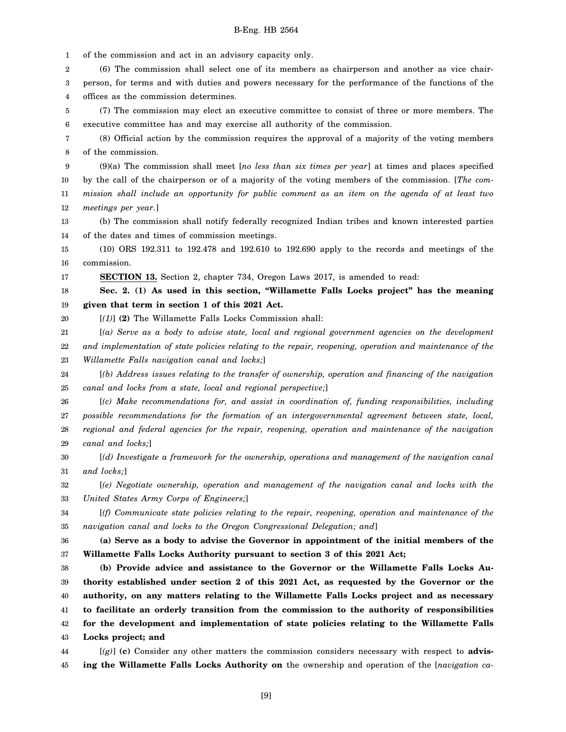1 2 3 4 5 6 7 8 9 10 11 12 13 14 15 16 17 18 19 20 21 22 23 24 25 26 27 28 29 30 31 32 33 34 35 36 37 38 39 40 41 42 43 44 of the commission and act in an advisory capacity only. (6) The commission shall select one of its members as chairperson and another as vice chairperson, for terms and with duties and powers necessary for the performance of the functions of the offices as the commission determines. (7) The commission may elect an executive committee to consist of three or more members. The executive committee has and may exercise all authority of the commission. (8) Official action by the commission requires the approval of a majority of the voting members of the commission. (9)(a) The commission shall meet [*no less than six times per year*] at times and places specified by the call of the chairperson or of a majority of the voting members of the commission. [*The commission shall include an opportunity for public comment as an item on the agenda of at least two meetings per year.*] (b) The commission shall notify federally recognized Indian tribes and known interested parties of the dates and times of commission meetings. (10) ORS 192.311 to 192.478 and 192.610 to 192.690 apply to the records and meetings of the commission. **SECTION 13.** Section 2, chapter 734, Oregon Laws 2017, is amended to read: **Sec. 2. (1) As used in this section, "Willamette Falls Locks project" has the meaning given that term in section 1 of this 2021 Act.** [*(1)*] **(2)** The Willamette Falls Locks Commission shall: [*(a) Serve as a body to advise state, local and regional government agencies on the development and implementation of state policies relating to the repair, reopening, operation and maintenance of the Willamette Falls navigation canal and locks;*] [*(b) Address issues relating to the transfer of ownership, operation and financing of the navigation canal and locks from a state, local and regional perspective;*] [*(c) Make recommendations for, and assist in coordination of, funding responsibilities, including possible recommendations for the formation of an intergovernmental agreement between state, local, regional and federal agencies for the repair, reopening, operation and maintenance of the navigation canal and locks;*] [*(d) Investigate a framework for the ownership, operations and management of the navigation canal and locks;*] [*(e) Negotiate ownership, operation and management of the navigation canal and locks with the United States Army Corps of Engineers;*] [*(f) Communicate state policies relating to the repair, reopening, operation and maintenance of the navigation canal and locks to the Oregon Congressional Delegation; and*] **(a) Serve as a body to advise the Governor in appointment of the initial members of the Willamette Falls Locks Authority pursuant to section 3 of this 2021 Act; (b) Provide advice and assistance to the Governor or the Willamette Falls Locks Authority established under section 2 of this 2021 Act, as requested by the Governor or the authority, on any matters relating to the Willamette Falls Locks project and as necessary to facilitate an orderly transition from the commission to the authority of responsibilities for the development and implementation of state policies relating to the Willamette Falls Locks project; and** [*(g)*] **(c)** Consider any other matters the commission considers necessary with respect to **advis-**

45 **ing the Willamette Falls Locks Authority on** the ownership and operation of the [*navigation ca-*